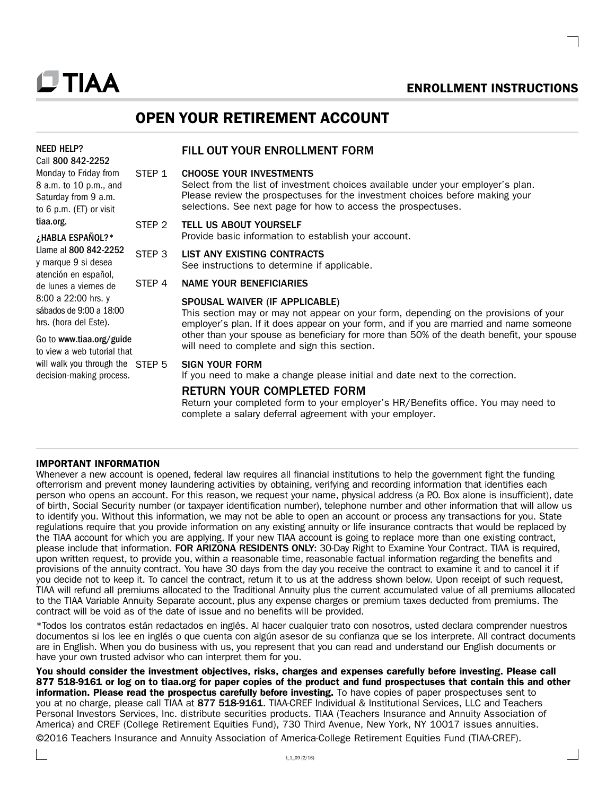#### Go to [www.tiaa.org/guide](http://www.tiaa.org/guide)

to view a web tutorial that will walk you through the STFP 5 decision-making process.

## OPEN YOUR RETIREMENT ACCOUNT

## FILL OUT YOUR ENROLLMENT FORM

## STEP 1 CHOOSE YOUR INVESTMENTS

 Select from the list of investment choices available under your employer's plan. Please review the prospectuses for the investment choices before making your selections. See next page for how to access the prospectuses.

ENROLLMENT INSTRUCTIONS

## STEP 2 TELL US ABOUT YOURSELF

Provide basic information to establish your account.

## STEP 3 LIST ANY EXISTING CONTRACTS

See instructions to determine if applicable.

## STEP 4 NAME YOUR BENEFICIARIES

## SPOUSAL WAIVER (IF APPLICABLE)

 This section may or may not appear on your form, depending on the provisions of your employer's plan. If it does appear on your form, and if you are married and name someone other than your spouse as beneficiary for more than 50% of the death benefit, your spouse will need to complete and sign this section.

## SIGN YOUR FORM

If you need to make a change please initial and date next to the correction.

## RETURN YOUR COMPLETED FORM

 Return your completed form to your employer's HR/Benefits office. You may need to complete a salary deferral agreement with your employer.

## IMPORTANT INFORMATION

Whenever a new account is opened, federal law requires all financial institutions to help the government fight the funding ofterrorism and prevent money laundering activities by obtaining, verifying and recording information that identifies each person who opens an account. For this reason, we request your name, physical address (a P.O. Box alone is insufficient), date of birth, Social Security number (or taxpayer identification number), telephone number and other information that will allow us to identify you. Without this information, we may not be able to open an account or process any transactions for you. State regulations require that you provide information on any existing annuity or life insurance contracts that would be replaced by the TIAA account for which you are applying. If your new TIAA account is going to replace more than one existing contract, please include that information. FOR ARIZONA RESIDENTS ONLY: 30-Day Right to Examine Your Contract. TIAA is required, upon written request, to provide you, within a reasonable time, reasonable factual information regarding the benefits and provisions of the annuity contract. You have 30 days from the day you receive the contract to examine it and to cancel it if you decide not to keep it. To cancel the contract, return it to us at the address shown below. Upon receipt of such request, TIAA will refund all premiums allocated to the Traditional Annuity plus the current accumulated value of all premiums allocated to the TIAA Variable Annuity Separate account, plus any expense charges or premium taxes deducted from premiums. The contract will be void as of the date of issue and no benefits will be provided.

\*Todos los contratos están redactados en inglés. Al hacer cualquier trato con nosotros, usted declara comprender nuestros documentos si los lee en inglés o que cuenta con algún asesor de su confianza que se los interprete. All contract documents are in English. When you do business with us, you represent that you can read and understand our English documents or have your own trusted advisor who can interpret them for you.

You should consider the investment objectives, risks, charges and expenses carefully before investing. Please call 877 518-9161 or log on to tiaa.org for paper copies of the product and fund prospectuses that contain this and other information. Please read the prospectus carefully before investing. To have copies of paper prospectuses sent to you at no charge, please call TIAA at 877 518-9161. TIAA-CREF Individual & Institutional Services, LLC and Teachers Personal Investors Services, Inc. distribute securities products. TIAA (Teachers Insurance and Annuity Association of America) and CREF (College Retirement Equities Fund), 730 Third Avenue, New York, NY 10017 issues annuities.

©2016 Teachers Insurance and Annuity Association of America-College Retirement Equities Fund (TIAA-CREF).

# **UTIAA**

NEED HELP? Call 800 842-2252 Monday to Friday from 8 a.m. to 10 p.m., and Saturday from 9 a.m.

## to 6 p.m. (ET) or visit tiaa.org. ¿HABLA ESPAÑOL?\* Llame al 800 842-2252 y marque 9 si desea atención en español, de lunes a viernes de 8:00 a 22:00 hrs. y sábados de 9:00 a 18:00 hrs. (hora del Este).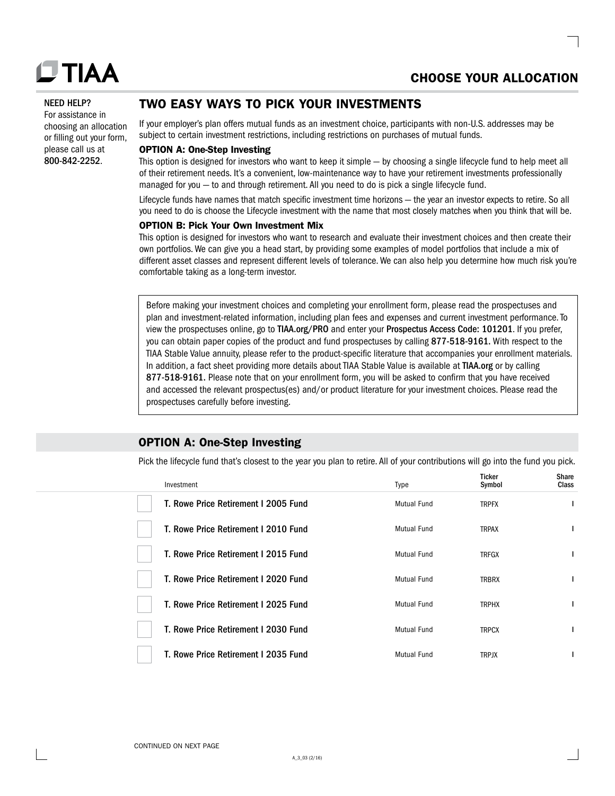

 $\sim$ 

#### NEED HELP?

For assistance in choosing an allocation or filling out your form, please call us at 800-842-2252.

## TWO EASY WAYS TO PICK YOUR INVESTMENTS

If your employer's plan offers mutual funds as an investment choice, participants with non-U.S. addresses may be subject to certain investment restrictions, including restrictions on purchases of mutual funds.

## OPTION A: One-Step Investing

This option is designed for investors who want to keep it simple — by choosing a single lifecycle fund to help meet all of their retirement needs. It's a convenient, low-maintenance way to have your retirement investments professionally managed for you — to and through retirement. All you need to do is pick a single lifecycle fund.

Lifecycle funds have names that match specific investment time horizons — the year an investor expects to retire. So all you need to do is choose the Lifecycle investment with the name that most closely matches when you think that will be.

## OPTION B: Pick Your Own Investment Mix

This option is designed for investors who want to research and evaluate their investment choices and then create their own portfolios. We can give you a head start, by providing some examples of model portfolios that include a mix of different asset classes and represent different levels of tolerance. We can also help you determine how much risk you're comfortable taking as a long-term investor.

Before making your investment choices and completing your enrollment form, please read the prospectuses and plan and investment-related information, including plan fees and expenses and current investment performance. To view the prospectuses online, go to [TIAA.org/PRO](http://www.TIAA.org/PRO) and enter your Prospectus Access Code: 101201. If you prefer, you can obtain paper copies of the product and fund prospectuses by calling 877-518-9161. With respect to the TIAA Stable Value annuity, please refer to the product-specific literature that accompanies your enrollment materials. In addition, a fact sheet providing more details about TIAA Stable Value is available at [TIAA.org](http://www.TIAA.org) or by calling 877-518-9161. Please note that on your enrollment form, you will be asked to confirm that you have received and accessed the relevant prospectus(es) and/or product literature for your investment choices. Please read the prospectuses carefully before investing.

## OPTION A: One-Step Investing

Pick the lifecycle fund that's closest to the year you plan to retire. All of your contributions will go into the fund you pick.

| Investment                           | <b>Type</b>        | Ticker<br>Symbol | Share<br>Class |
|--------------------------------------|--------------------|------------------|----------------|
| T. Rowe Price Retirement I 2005 Fund | <b>Mutual Fund</b> | <b>TRPFX</b>     | ı              |
| T. Rowe Price Retirement I 2010 Fund | <b>Mutual Fund</b> | <b>TRPAX</b>     | I              |
| T. Rowe Price Retirement I 2015 Fund | <b>Mutual Fund</b> | <b>TRFGX</b>     | п              |
| T. Rowe Price Retirement I 2020 Fund | Mutual Fund        | TRBRX            | п              |
| T. Rowe Price Retirement I 2025 Fund | <b>Mutual Fund</b> | <b>TRPHX</b>     | п              |
| T. Rowe Price Retirement I 2030 Fund | <b>Mutual Fund</b> | <b>TRPCX</b>     |                |
| T. Rowe Price Retirement I 2035 Fund | Mutual Fund        | <b>TRPJX</b>     |                |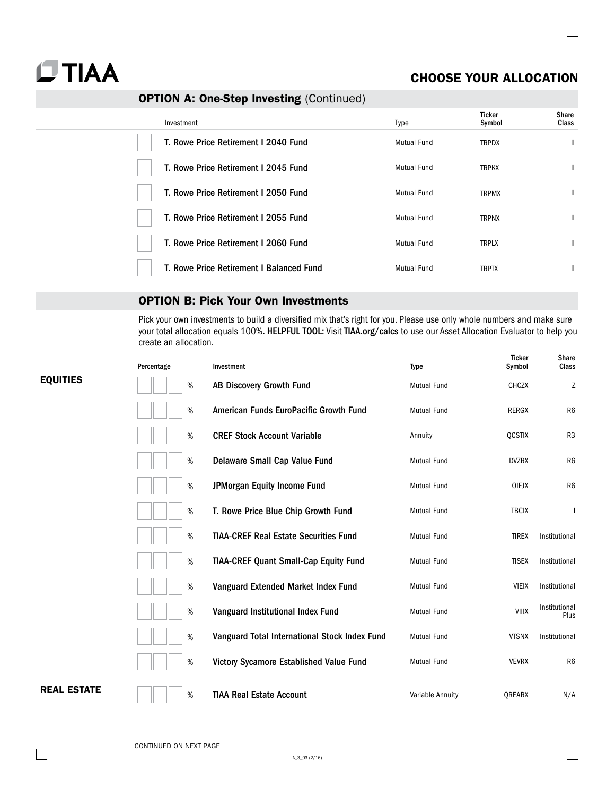

## CHOOSE YOUR ALLOCATION

## OPTION A: One-Step Investing (Continued)

| Investment                               | <b>Type</b>        | Ticker<br>Symbol | Share<br><b>Class</b> |
|------------------------------------------|--------------------|------------------|-----------------------|
| T. Rowe Price Retirement I 2040 Fund     | <b>Mutual Fund</b> | <b>TRPDX</b>     |                       |
| T. Rowe Price Retirement I 2045 Fund     | <b>Mutual Fund</b> | <b>TRPKX</b>     |                       |
| T. Rowe Price Retirement I 2050 Fund     | Mutual Fund        | <b>TRPMX</b>     |                       |
| T. Rowe Price Retirement I 2055 Fund     | <b>Mutual Fund</b> | <b>TRPNX</b>     |                       |
| T. Rowe Price Retirement I 2060 Fund     | Mutual Fund        | <b>TRPLX</b>     |                       |
| T. Rowe Price Retirement I Balanced Fund | <b>Mutual Fund</b> | <b>TRPTX</b>     |                       |

## OPTION B: Pick Your Own Investments

Pick your own investments to build a diversified mix that's right for you. Please use only whole numbers and make sure your total allocation equals 100%. HELPFUL TOOL: Visit [TIAA.org/calcs](http://www.TIAA.org/calcs) to use our Asset Allocation Evaluator to help you create an allocation.

|                    | Percentage | Investment                                    | <b>Type</b>        | <b>Ticker</b><br>Symbol | Share<br>Class        |
|--------------------|------------|-----------------------------------------------|--------------------|-------------------------|-----------------------|
| <b>EQUITIES</b>    | $\%$       | AB Discovery Growth Fund                      | <b>Mutual Fund</b> | <b>CHCZX</b>            | Z                     |
|                    | %          | American Funds EuroPacific Growth Fund        | <b>Mutual Fund</b> | <b>RERGX</b>            | R <sub>6</sub>        |
|                    | %          | <b>CREF Stock Account Variable</b>            | Annuity            | <b>QCSTIX</b>           | R <sub>3</sub>        |
|                    | $\%$       | Delaware Small Cap Value Fund                 | <b>Mutual Fund</b> | <b>DVZRX</b>            | R <sub>6</sub>        |
|                    | $\%$       | JPMorgan Equity Income Fund                   | <b>Mutual Fund</b> | <b>OIEJX</b>            | R <sub>6</sub>        |
|                    | $\%$       | T. Rowe Price Blue Chip Growth Fund           | <b>Mutual Fund</b> | <b>TBCIX</b>            |                       |
|                    | $\%$       | <b>TIAA-CREF Real Estate Securities Fund</b>  | Mutual Fund        | <b>TIREX</b>            | Institutional         |
|                    | $\%$       | <b>TIAA-CREF Quant Small-Cap Equity Fund</b>  | <b>Mutual Fund</b> | <b>TISEX</b>            | Institutional         |
|                    | $\%$       | Vanguard Extended Market Index Fund           | <b>Mutual Fund</b> | <b>VIEIX</b>            | Institutional         |
|                    | $\%$       | Vanguard Institutional Index Fund             | Mutual Fund        | VIIIX                   | Institutional<br>Plus |
|                    | $\%$       | Vanguard Total International Stock Index Fund | <b>Mutual Fund</b> | <b>VTSNX</b>            | Institutional         |
|                    | $\%$       | Victory Sycamore Established Value Fund       | <b>Mutual Fund</b> | <b>VEVRX</b>            | R <sub>6</sub>        |
| <b>REAL ESTATE</b> | $\%$       | <b>TIAA Real Estate Account</b>               | Variable Annuity   | <b>OREARX</b>           | N/A                   |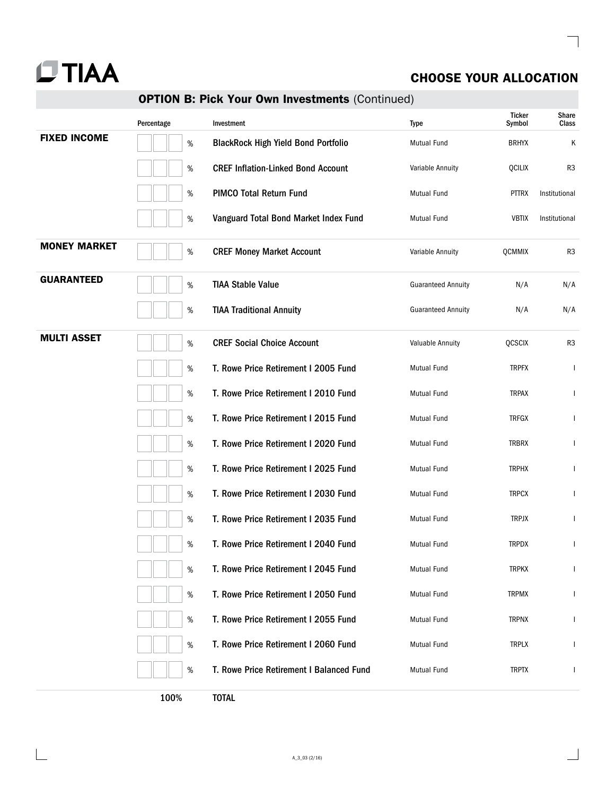

## CHOOSE YOUR ALLOCATION

## OPTION B: Pick Your Own Investments (Continued)

|                     | Percentage | Investment                                 | <b>Type</b>               | Ticker<br>Symbol | Share<br>Class |
|---------------------|------------|--------------------------------------------|---------------------------|------------------|----------------|
| <b>FIXED INCOME</b> | $\%$       | <b>BlackRock High Yield Bond Portfolio</b> | <b>Mutual Fund</b>        | <b>BRHYX</b>     | Κ              |
|                     | $\%$       | <b>CREF Inflation-Linked Bond Account</b>  | Variable Annuity          | QCILIX           | R <sub>3</sub> |
|                     | $\%$       | <b>PIMCO Total Return Fund</b>             | <b>Mutual Fund</b>        | <b>PTTRX</b>     | Institutional  |
|                     | $\%$       | Vanguard Total Bond Market Index Fund      | <b>Mutual Fund</b>        | <b>VBTIX</b>     | Institutional  |
| <b>MONEY MARKET</b> | $\%$       | <b>CREF Money Market Account</b>           | Variable Annuity          | QCMMIX           | R <sub>3</sub> |
| <b>GUARANTEED</b>   | $\%$       | <b>TIAA Stable Value</b>                   | <b>Guaranteed Annuity</b> | N/A              | N/A            |
|                     | $\%$       | <b>TIAA Traditional Annuity</b>            | <b>Guaranteed Annuity</b> | N/A              | N/A            |
| <b>MULTI ASSET</b>  | $\%$       | <b>CREF Social Choice Account</b>          | Valuable Annuity          | <b>QCSCIX</b>    | R <sub>3</sub> |
|                     | $\%$       | T. Rowe Price Retirement I 2005 Fund       | <b>Mutual Fund</b>        | <b>TRPFX</b>     | $\mathsf{I}$   |
|                     | $\%$       | T. Rowe Price Retirement I 2010 Fund       | <b>Mutual Fund</b>        | <b>TRPAX</b>     | $\mathsf{I}$   |
|                     | $\%$       | T. Rowe Price Retirement I 2015 Fund       | <b>Mutual Fund</b>        | <b>TRFGX</b>     |                |
|                     | $\%$       | T. Rowe Price Retirement I 2020 Fund       | <b>Mutual Fund</b>        | <b>TRBRX</b>     | I              |
|                     | $\%$       | T. Rowe Price Retirement I 2025 Fund       | <b>Mutual Fund</b>        | <b>TRPHX</b>     | I              |
|                     | $\%$       | T. Rowe Price Retirement I 2030 Fund       | <b>Mutual Fund</b>        | <b>TRPCX</b>     | ı              |
|                     | $\%$       | T. Rowe Price Retirement I 2035 Fund       | <b>Mutual Fund</b>        | <b>TRPJX</b>     | $\mathbf{I}$   |
|                     | $\%$       | T. Rowe Price Retirement I 2040 Fund       | <b>Mutual Fund</b>        | <b>TRPDX</b>     | $\mathsf{I}$   |
|                     | $\%$       | T. Rowe Price Retirement I 2045 Fund       | Mutual Fund               | <b>TRPKX</b>     | I              |
|                     | $\%$       | T. Rowe Price Retirement I 2050 Fund       | Mutual Fund               | <b>TRPMX</b>     | $\mathbf{I}$   |
|                     | $\%$       | T. Rowe Price Retirement I 2055 Fund       | <b>Mutual Fund</b>        | <b>TRPNX</b>     | L              |
|                     | $\%$       | T. Rowe Price Retirement I 2060 Fund       | Mutual Fund               | <b>TRPLX</b>     | $\mathbf{I}$   |
|                     | $\%$       | T. Rowe Price Retirement I Balanced Fund   | Mutual Fund               | <b>TRPTX</b>     | T              |
|                     | 100%       | <b>TOTAL</b>                               |                           |                  |                |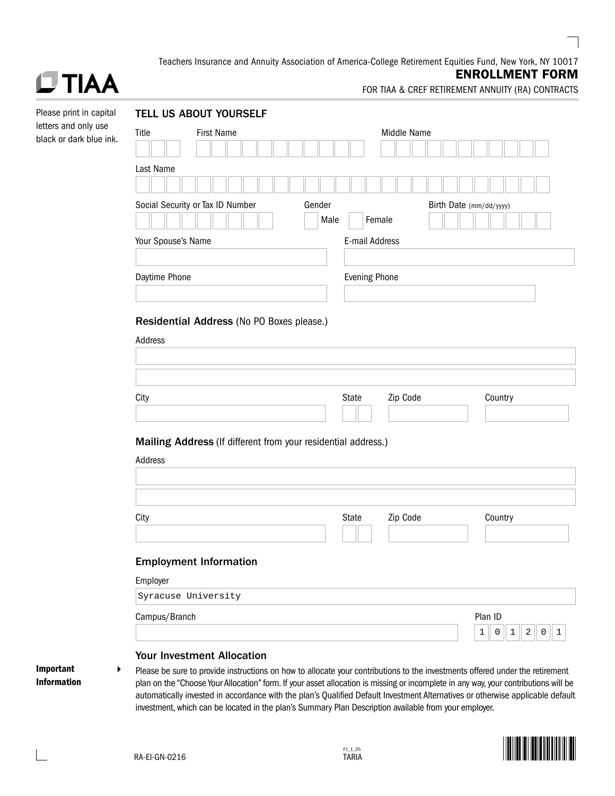Teachers Insurance and Annuity Association of America-College Retirement Equities Fund, New York, NY 10017

## **DTIAA**

## ENROLLMENT FORM

FOR TIAA & CREF RETIREMENT ANNUITY (RA) CONTRACTS

| Please print in capital                         |                    | <b>TELL US ABOUT YOURSELF</b>                                                                                                                                                                                                                                         |        |                      |             |  |                                       |  |
|-------------------------------------------------|--------------------|-----------------------------------------------------------------------------------------------------------------------------------------------------------------------------------------------------------------------------------------------------------------------|--------|----------------------|-------------|--|---------------------------------------|--|
| letters and only use<br>black or dark blue ink. | Title              | <b>First Name</b>                                                                                                                                                                                                                                                     |        |                      | Middle Name |  |                                       |  |
|                                                 |                    |                                                                                                                                                                                                                                                                       |        |                      |             |  |                                       |  |
|                                                 | Last Name          |                                                                                                                                                                                                                                                                       |        |                      |             |  |                                       |  |
|                                                 |                    |                                                                                                                                                                                                                                                                       |        |                      |             |  |                                       |  |
|                                                 |                    | Social Security or Tax ID Number                                                                                                                                                                                                                                      | Gender |                      |             |  | Birth Date (mm/dd/yyyy)               |  |
|                                                 |                    |                                                                                                                                                                                                                                                                       | Male   |                      | Female      |  |                                       |  |
|                                                 | Your Spouse's Name |                                                                                                                                                                                                                                                                       |        | E-mail Address       |             |  |                                       |  |
|                                                 |                    |                                                                                                                                                                                                                                                                       |        |                      |             |  |                                       |  |
|                                                 | Daytime Phone      |                                                                                                                                                                                                                                                                       |        | <b>Evening Phone</b> |             |  |                                       |  |
|                                                 |                    |                                                                                                                                                                                                                                                                       |        |                      |             |  |                                       |  |
|                                                 |                    | Residential Address (No PO Boxes please.)                                                                                                                                                                                                                             |        |                      |             |  |                                       |  |
|                                                 | Address            |                                                                                                                                                                                                                                                                       |        |                      |             |  |                                       |  |
|                                                 |                    |                                                                                                                                                                                                                                                                       |        |                      |             |  |                                       |  |
|                                                 |                    |                                                                                                                                                                                                                                                                       |        |                      |             |  |                                       |  |
|                                                 | City               |                                                                                                                                                                                                                                                                       |        | State                | Zip Code    |  | Country                               |  |
|                                                 |                    |                                                                                                                                                                                                                                                                       |        |                      |             |  |                                       |  |
|                                                 |                    |                                                                                                                                                                                                                                                                       |        |                      |             |  |                                       |  |
|                                                 |                    | Mailing Address (If different from your residential address.)                                                                                                                                                                                                         |        |                      |             |  |                                       |  |
|                                                 | Address            |                                                                                                                                                                                                                                                                       |        |                      |             |  |                                       |  |
|                                                 |                    |                                                                                                                                                                                                                                                                       |        |                      |             |  |                                       |  |
|                                                 |                    |                                                                                                                                                                                                                                                                       |        |                      |             |  |                                       |  |
|                                                 | City               |                                                                                                                                                                                                                                                                       |        | State                | Zip Code    |  | Country                               |  |
|                                                 |                    |                                                                                                                                                                                                                                                                       |        |                      |             |  |                                       |  |
|                                                 |                    | <b>Employment Information</b>                                                                                                                                                                                                                                         |        |                      |             |  |                                       |  |
|                                                 | Employer           |                                                                                                                                                                                                                                                                       |        |                      |             |  |                                       |  |
|                                                 |                    | Syracuse University                                                                                                                                                                                                                                                   |        |                      |             |  |                                       |  |
|                                                 | Campus/Branch      |                                                                                                                                                                                                                                                                       |        |                      |             |  | Plan ID                               |  |
|                                                 |                    |                                                                                                                                                                                                                                                                       |        |                      |             |  | 1<br>2<br>0<br>$\mathbf{1}$<br>0<br>1 |  |
|                                                 |                    | <b>Your Investment Allocation</b>                                                                                                                                                                                                                                     |        |                      |             |  |                                       |  |
| Important<br>▶<br><b>Information</b>            |                    | Please be sure to provide instructions on how to allocate your contributions to the investments offered under the retirement                                                                                                                                          |        |                      |             |  |                                       |  |
|                                                 |                    | plan on the "Choose Your Allocation" form. If your asset allocation is missing or incomplete in any way, your contributions will be<br>automatically invested in accordance with the plan's Qualified Default Investment Alternatives or otherwise applicable default |        |                      |             |  |                                       |  |
|                                                 |                    | investment, which can be located in the plan's Summary Plan Description available from your employer.                                                                                                                                                                 |        |                      |             |  |                                       |  |

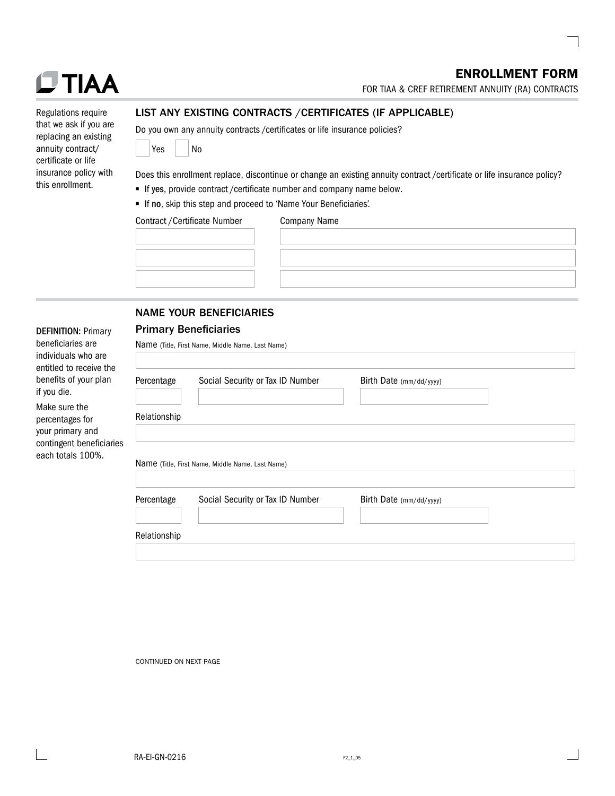## ENROLLMENT FORM

FOR TIAA & CREF RETIREMENT ANNUITY (RA) CONTRACTS

| $\sim$<br>. . |  |
|---------------|--|
|               |  |

| Regulations require    |
|------------------------|
| that we ask if you are |
| replacing an existing  |
| annuity contract/      |
| certificate or life    |
| insurance policy with  |
| this enrollment.       |

DEFINITION: Primary beneficiaries are individuals who are

## LIST ANY EXISTING CONTRACTS /CERTIFICATES (IF APPLICABLE)

Do you own any annuity contracts /certificates or life insurance policies?

| Yes |  | No |
|-----|--|----|
|-----|--|----|

Does this enrollment replace, discontinue or change an existing annuity contract /certificate or life insurance policy?

- If yes, provide contract /certificate number and company name below.
- If no, skip this step and proceed to 'Name Your Beneficiaries'.

Contract /Certificate Number Company Name

| $55$ $55$ $50$ $50$ $50$ $50$ |  |  |  |  |
|-------------------------------|--|--|--|--|
|                               |  |  |  |  |
|                               |  |  |  |  |
|                               |  |  |  |  |
|                               |  |  |  |  |
|                               |  |  |  |  |
|                               |  |  |  |  |
|                               |  |  |  |  |
|                               |  |  |  |  |
|                               |  |  |  |  |
|                               |  |  |  |  |
|                               |  |  |  |  |
|                               |  |  |  |  |
|                               |  |  |  |  |

| ,我们也不会有什么。""我们不会有什么?""我们不会有什么?""我们不会有什么?""我们不会有什么?""我们不会有什么?""我们不会有什么?""我们不会有什么?" |  |  |  |
|-----------------------------------------------------------------------------------|--|--|--|
|                                                                                   |  |  |  |
|                                                                                   |  |  |  |
|                                                                                   |  |  |  |
|                                                                                   |  |  |  |
|                                                                                   |  |  |  |
|                                                                                   |  |  |  |
|                                                                                   |  |  |  |

## NAME YOUR BENEFICIARIES

## Primary Beneficiaries

| beneficiaries are<br>individuals who are<br>entitled to receive the |              | Name (Title, First Name, Middle Name, Last Name) |                         |  |
|---------------------------------------------------------------------|--------------|--------------------------------------------------|-------------------------|--|
| benefits of your plan<br>if you die.                                | Percentage   | Social Security or Tax ID Number                 | Birth Date (mm/dd/yyyy) |  |
| Make sure the<br>percentages for<br>your primary and                | Relationship |                                                  |                         |  |
| contingent beneficiaries<br>each totals 100%.                       |              | Name (Title, First Name, Middle Name, Last Name) |                         |  |
|                                                                     | Percentage   | Social Security or Tax ID Number                 | Birth Date (mm/dd/yyyy) |  |
|                                                                     | Relationship |                                                  |                         |  |

CONTINUED ON NEXT PAGE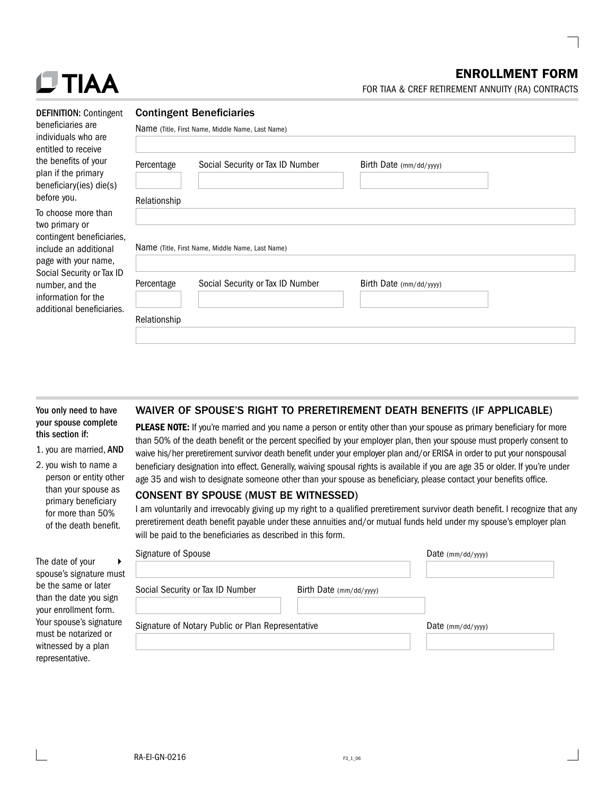## ENROLLMENT FORM

FOR TIAA & CREF RETIREMENT ANNUITY (RA) CONTRACTS

| $\sim$ | ١. |  |
|--------|----|--|
|        |    |  |

| <b>DEFINITION: Contingent</b> |
|-------------------------------|
| beneficiaries are             |
| individuals who are           |
| entitled to receive           |
| the benefits of your          |
| plan if the primary           |
| beneficiary(ies) die(s)       |
| before you.                   |
|                               |

To choose more than two primary or contingent beneficiar include an additional page with your name, Social Security or Tax number, and the information for the additional beneficiari

#### Contingent Beneficiaries

| Percentage   | Social Security or Tax ID Number                 | Birth Date (mm/dd/yyyy) |
|--------------|--------------------------------------------------|-------------------------|
| Relationship |                                                  |                         |
|              |                                                  |                         |
|              |                                                  |                         |
|              | Name (Title, First Name, Middle Name, Last Name) |                         |
|              |                                                  |                         |
| Percentage   | Social Security or Tax ID Number                 | Birth Date (mm/dd/yyyy) |

## You only need to have your spouse complete this section if:

### 1. you are married, AND

2. you wish to name a person or entity other than your spouse as primary beneficiary for more than 50% of the death benefit.

The da spous be the than th your e Your s must witnes repres  $\blacktriangleright$ 

## WAIVER OF SPOUSE'S RIGHT TO PRERETIREMENT DEATH BENEFITS (IF APPLICABLE)

PLEASE NOTE: If you're married and you name a person or entity other than your spouse as primary beneficiary for more than 50% of the death benefit or the percent specified by your employer plan, then your spouse must properly consent to waive his/her preretirement survivor death benefit under your employer plan and/or ERISA in order to put your nonspousal beneficiary designation into effect. Generally, waiving spousal rights is available if you are age 35 or older. If you're under age 35 and wish to designate someone other than your spouse as beneficiary, please contact your benefits office.

### CONSENT BY SPOUSE (MUST BE WITNESSED)

I am voluntarily and irrevocably giving up my right to a qualified preretirement survivor death benefit. I recognize that any preretirement death benefit payable under these annuities and/or mutual funds held under my spouse's employer plan will be paid to the beneficiaries as described in this form.

|                                                         | Signature of Spouse                                         | Date $(mm/dd/yyyy)$ |
|---------------------------------------------------------|-------------------------------------------------------------|---------------------|
| ate of vour<br>e's signature must                       |                                                             |                     |
| same or later<br>he date you sign                       | Social Security or Tax ID Number<br>Birth Date (mm/dd/yyyy) |                     |
| nrollment form.<br>pouse's signature<br>be notarized or | Signature of Notary Public or Plan Representative           | Date $(mm/dd/yyyy)$ |
| sed by a plan<br>entative.                              |                                                             |                     |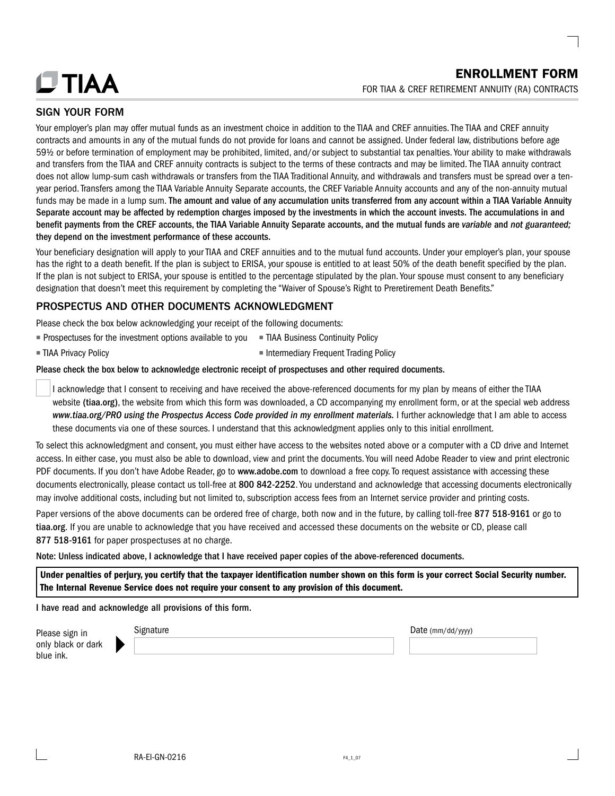

## SIGN YOUR FORM

Your employer's plan may offer mutual funds as an investment choice in addition to the TIAA and CREF annuities. The TIAA and CREF annuity contracts and amounts in any of the mutual funds do not provide for loans and cannot be assigned. Under federal law, distributions before age 59½ or before termination of employment may be prohibited, limited, and/or subject to substantial tax penalties. Your ability to make withdrawals and transfers from the TIAA and CREF annuity contracts is subject to the terms of these contracts and may be limited. The TIAA annuity contract does not allow lump-sum cash withdrawals or transfers from the TIAA Traditional Annuity, and withdrawals and transfers must be spread over a tenyear period. Transfers among the TIAA Variable Annuity Separate accounts, the CREF Variable Annuity accounts and any of the non-annuity mutual funds may be made in a lump sum. The amount and value of any accumulation units transferred from any account within a TIAA Variable Annuity Separate account may be affected by redemption charges imposed by the investments in which the account invests. The accumulations in and benefit payments from the CREF accounts, the TIAA Variable Annuity Separate accounts, and the mutual funds are *variable* and *not guaranteed;* they depend on the investment performance of these accounts.

Your beneficiary designation will apply to your TIAA and CREF annuities and to the mutual fund accounts. Under your employer's plan, your spouse has the right to a death benefit. If the plan is subject to ERISA, your spouse is entitled to at least 50% of the death benefit specified by the plan. If the plan is not subject to ERISA, your spouse is entitled to the percentage stipulated by the plan. Your spouse must consent to any beneficiary designation that doesn't meet this requirement by completing the "Waiver of Spouse's Right to Preretirement Death Benefits."

## PROSPECTUS AND OTHER DOCUMENTS ACKNOWLEDGMENT

Please check the box below acknowledging your receipt of the following documents:

- $\blacksquare$  Prospectuses for the investment options available to you  $\blacksquare$  TIAA Business Continuity Policy
- **n** TIAA Privacy Policy **n Intermediary Frequent Trading Policy**
- 

### Please check the box below to acknowledge electronic receipt of prospectuses and other required documents.

 I acknowledge that I consent to receiving and have received the above-referenced documents for my plan by means of either the TIAA website ([tiaa.org](http://tiaa.org)), the website from which this form was downloaded, a CD accompanying my enrollment form, or at the special web address *[www.tiaa.org/PRO](http://www.tiaa.org/PRO) using the Prospectus Access Code provided in my enrollment materials.* I further acknowledge that I am able to access these documents via one of these sources. I understand that this acknowledgment applies only to this initial enrollment.

To select this acknowledgment and consent, you must either have access to the websites noted above or a computer with a CD drive and Internet access. In either case, you must also be able to download, view and print the documents. You will need Adobe Reader to view and print electronic PDF documents. If you don't have Adobe Reader, go to [www.adobe.com](http://www.adobe.com) to download a free copy. To request assistance with accessing these documents electronically, please contact us toll-free at 800 842-2252. You understand and acknowledge that accessing documents electronically may involve additional costs, including but not limited to, subscription access fees from an Internet service provider and printing costs.

Paper versions of the above documents can be ordered free of charge, both now and in the future, by calling toll-free 877 518-9161 or go to [tiaa.org](http://tiaa.org). If you are unable to acknowledge that you have received and accessed these documents on the website or CD, please call 877 518-9161 for paper prospectuses at no charge.

Note: Unless indicated above, I acknowledge that I have received paper copies of the above-referenced documents.

Under penalties of perjury, you certify that the taxpayer identification number shown on this form is your correct Social Security number. The Internal Revenue Service does not require your consent to any provision of this document.

I have read and acknowledge all provisions of this form.

| Please sign in     | signature | Date $(mm/dd/yyyy)$ |
|--------------------|-----------|---------------------|
| only black or dark |           |                     |
| blue ink.          |           |                     |